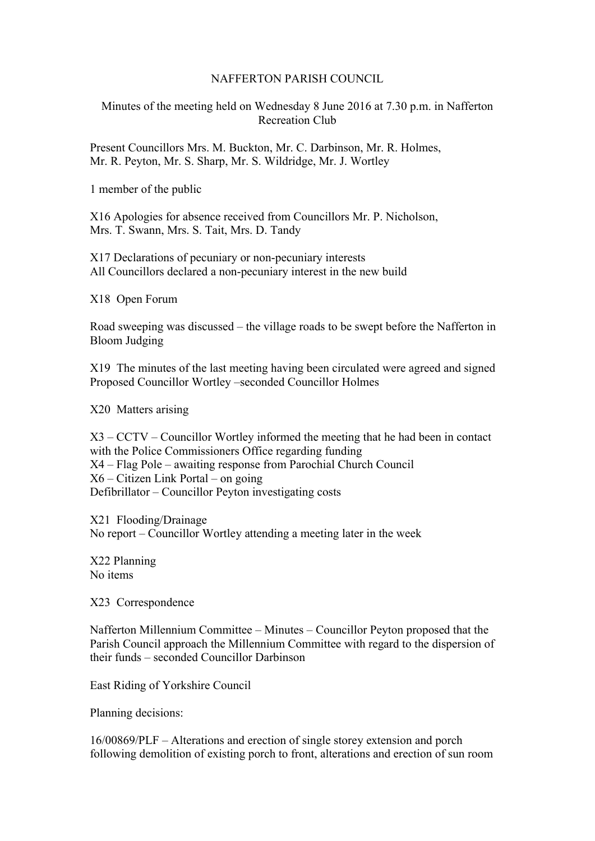## NAFFERTON PARISH COUNCIL

## Minutes of the meeting held on Wednesday 8 June 2016 at 7.30 p.m. in Nafferton Recreation Club

Present Councillors Mrs. M. Buckton, Mr. C. Darbinson, Mr. R. Holmes, Mr. R. Peyton, Mr. S. Sharp, Mr. S. Wildridge, Mr. J. Wortley

1 member of the public

X16 Apologies for absence received from Councillors Mr. P. Nicholson, Mrs. T. Swann, Mrs. S. Tait, Mrs. D. Tandy

X17 Declarations of pecuniary or non-pecuniary interests All Councillors declared a non-pecuniary interest in the new build

X18 Open Forum

Road sweeping was discussed – the village roads to be swept before the Nafferton in Bloom Judging

X19 The minutes of the last meeting having been circulated were agreed and signed Proposed Councillor Wortley –seconded Councillor Holmes

X20 Matters arising

X3 – CCTV – Councillor Wortley informed the meeting that he had been in contact with the Police Commissioners Office regarding funding X4 – Flag Pole – awaiting response from Parochial Church Council X6 – Citizen Link Portal – on going Defibrillator – Councillor Peyton investigating costs

X21 Flooding/Drainage No report – Councillor Wortley attending a meeting later in the week

X22 Planning No items

X23 Correspondence

Nafferton Millennium Committee – Minutes – Councillor Peyton proposed that the Parish Council approach the Millennium Committee with regard to the dispersion of their funds – seconded Councillor Darbinson

East Riding of Yorkshire Council

Planning decisions:

16/00869/PLF – Alterations and erection of single storey extension and porch following demolition of existing porch to front, alterations and erection of sun room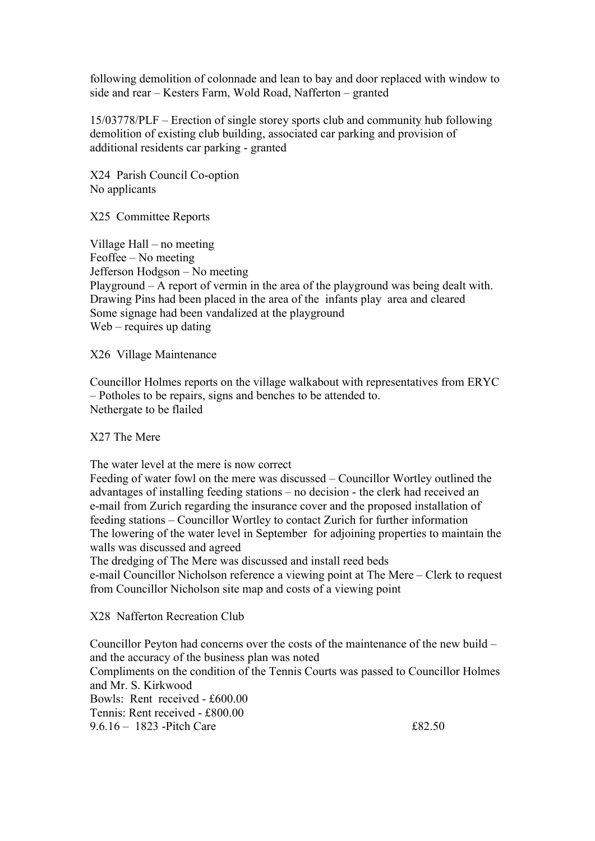following demolition of colonnade and lean to bay and door replaced with window to side and rear – Kesters Farm, Wold Road, Nafferton – granted

15/03778/PLF – Erection of single storey sports club and community hub following demolition of existing club building, associated car parking and provision of additional residents car parking - granted

X24 Parish Council Co-option No applicants

X25 Committee Reports

Village Hall – no meeting Feoffee – No meeting Jefferson Hodgson – No meeting Playground – A report of vermin in the area of the playground was being dealt with. Drawing Pins had been placed in the area of the infants play area and cleared Some signage had been vandalized at the playground Web – requires up dating

X26 Village Maintenance

Councillor Holmes reports on the village walkabout with representatives from ERYC – Potholes to be repairs, signs and benches to be attended to. Nethergate to be flailed

X27 The Mere

The water level at the mere is now correct

Feeding of water fowl on the mere was discussed – Councillor Wortley outlined the advantages of installing feeding stations – no decision - the clerk had received an e-mail from Zurich regarding the insurance cover and the proposed installation of feeding stations – Councillor Wortley to contact Zurich for further information The lowering of the water level in September for adjoining properties to maintain the walls was discussed and agreed

The dredging of The Mere was discussed and install reed beds

e-mail Councillor Nicholson reference a viewing point at The Mere – Clerk to request from Councillor Nicholson site map and costs of a viewing point

X28 Nafferton Recreation Club

Councillor Peyton had concerns over the costs of the maintenance of the new build – and the accuracy of the business plan was noted Compliments on the condition of the Tennis Courts was passed to Councillor Holmes and Mr. S. Kirkwood Bowls: Rent received - £600.00 Tennis: Rent received - £800.00 9.6.16 – 1823 -Pitch Care £82.50